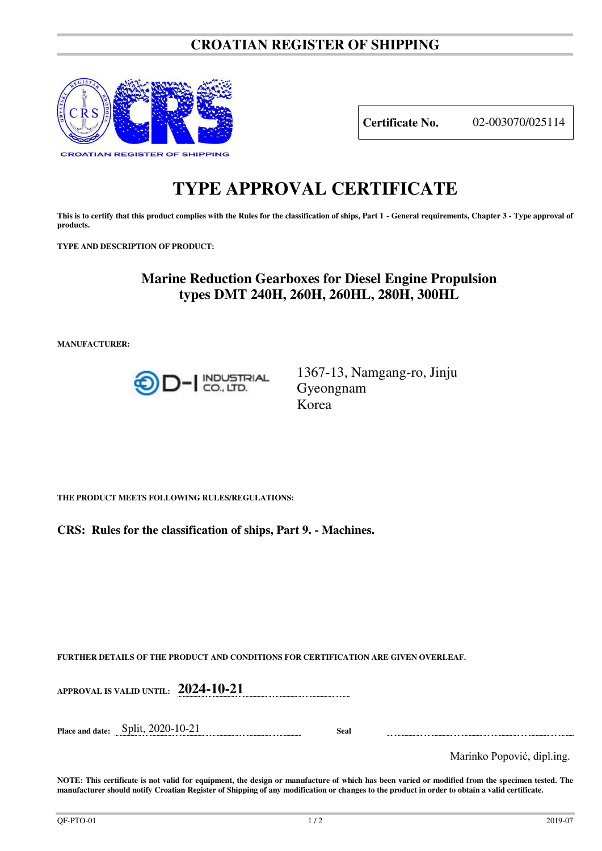# **CROATIAN REGISTER OF SHIPPING**



**Certificate No.** 02-003070/025114

# **TYPE APPROVAL CERTIFICATE**

**This is to certify that this product complies with the Rules for the classification of ships, Part 1 - General requirements, Chapter 3 - Type approval of products.** 

**TYPE AND DESCRIPTION OF PRODUCT:** 

# **Marine Reduction Gearboxes for Diesel Engine Propulsion types DMT 240H, 260H, 260HL, 280H, 300HL**

**MANUFACTURER:**



1367-13, Namgang-ro, Jinju Gyeongnam Korea

**THE PRODUCT MEETS FOLLOWING RULES/REGULATIONS:**

**CRS: Rules for the classification of ships, Part 9. - Machines.**

**FURTHER DETAILS OF THE PRODUCT AND CONDITIONS FOR CERTIFICATION ARE GIVEN OVERLEAF.**

| <b>APPROVAL IS VALID UNTIL:</b> | 2024-10-21 |
|---------------------------------|------------|
|                                 |            |

**Place and date:** Split, 2020-10-21 **Seal** 

Marinko Popović, dipl.ing.

**NOTE: This certificate is not valid for equipment, the design or manufacture of which has been varied or modified from the specimen tested. The manufacturer should notify Croatian Register of Shipping of any modification or changes to the product in order to obtain a valid certificate.**